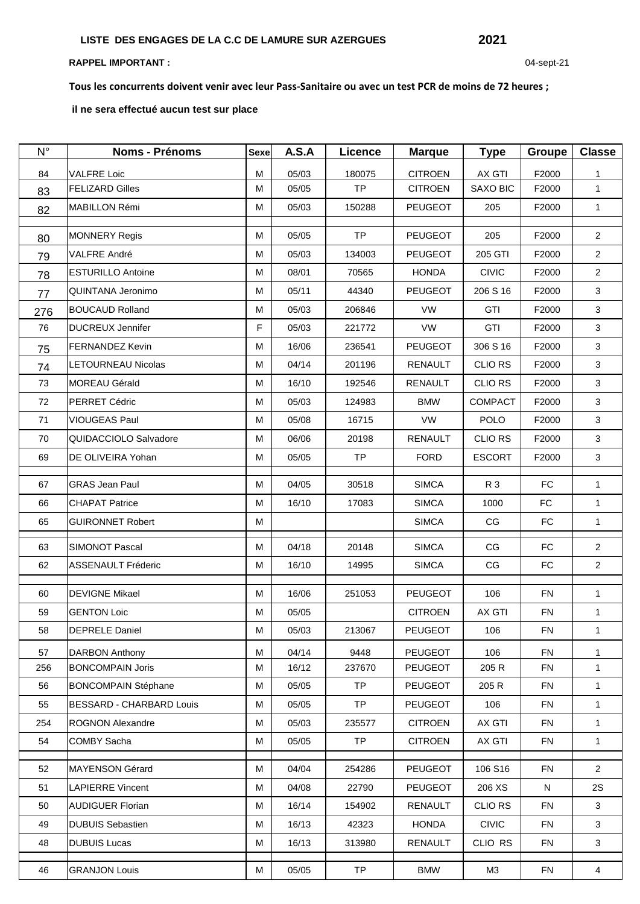## **RAPPEL IMPORTANT :** 04-sept-21

**Tous les concurrents doivent venir avec leur Pass-Sanitaire ou avec un test PCR de moins de 72 heures ;**

 **il ne sera effectué aucun test sur place**

| $N^{\circ}$ | <b>Noms - Prénoms</b>      | <b>Sexe</b> | A.S.A | <b>Licence</b> | <b>Marque</b>  | <b>Type</b>     | <b>Groupe</b> | <b>Classe</b>  |
|-------------|----------------------------|-------------|-------|----------------|----------------|-----------------|---------------|----------------|
| 84          | <b>VALFRE Loic</b>         | M           | 05/03 | 180075         | <b>CITROEN</b> | <b>AX GTI</b>   | F2000         | 1              |
| 83          | <b>FELIZARD Gilles</b>     | M           | 05/05 | <b>TP</b>      | <b>CITROEN</b> | <b>SAXO BIC</b> | F2000         | $\mathbf{1}$   |
| 82          | MABILLON Rémi              | м           | 05/03 | 150288         | <b>PEUGEOT</b> | 205             | F2000         | $\mathbf{1}$   |
|             | <b>MONNERY Regis</b>       | м           | 05/05 | <b>TP</b>      | <b>PEUGEOT</b> | 205             | F2000         | $\overline{2}$ |
| 80          | VALFRE André               | м           | 05/03 | 134003         | <b>PEUGEOT</b> | 205 GTI         | F2000         | $\overline{2}$ |
| 79          |                            |             |       |                |                |                 |               |                |
| 78          | <b>ESTURILLO Antoine</b>   | M           | 08/01 | 70565          | <b>HONDA</b>   | <b>CIVIC</b>    | F2000         | $\overline{2}$ |
| 77          | QUINTANA Jeronimo          | М           | 05/11 | 44340          | <b>PEUGEOT</b> | 206 S 16        | F2000         | 3              |
| 276         | <b>BOUCAUD Rolland</b>     | м           | 05/03 | 206846         | VW             | <b>GTI</b>      | F2000         | 3              |
| 76          | <b>DUCREUX Jennifer</b>    | F           | 05/03 | 221772         | <b>VW</b>      | GTI             | F2000         | 3              |
| 75          | <b>FERNANDEZ Kevin</b>     | M           | 16/06 | 236541         | PEUGEOT        | 306 S 16        | F2000         | 3              |
| 74          | <b>LETOURNEAU Nicolas</b>  | M           | 04/14 | 201196         | <b>RENAULT</b> | <b>CLIO RS</b>  | F2000         | 3              |
| 73          | MOREAU Gérald              | м           | 16/10 | 192546         | <b>RENAULT</b> | <b>CLIO RS</b>  | F2000         | 3              |
| 72          | PERRET Cédric              | м           | 05/03 | 124983         | <b>BMW</b>     | <b>COMPACT</b>  | F2000         | 3              |
| 71          | VIOUGEAS Paul              | M           | 05/08 | 16715          | VW             | <b>POLO</b>     | F2000         | $\mathbf{3}$   |
| 70          | QUIDACCIOLO Salvadore      | М           | 06/06 | 20198          | <b>RENAULT</b> | <b>CLIO RS</b>  | F2000         | 3              |
| 69          | DE OLIVEIRA Yohan          | M           | 05/05 | TP             | <b>FORD</b>    | <b>ESCORT</b>   | F2000         | 3              |
| 67          | <b>GRAS Jean Paul</b>      | М           | 04/05 | 30518          | <b>SIMCA</b>   | R 3             | FC            | $\mathbf{1}$   |
| 66          | <b>CHAPAT Patrice</b>      | М           | 16/10 | 17083          | <b>SIMCA</b>   | 1000            | FC            | $\mathbf{1}$   |
| 65          | <b>GUIRONNET Robert</b>    | м           |       |                | <b>SIMCA</b>   | CG              | <b>FC</b>     | $\mathbf{1}$   |
| 63          | SIMONOT Pascal             | м           | 04/18 | 20148          | <b>SIMCA</b>   | CG              | <b>FC</b>     | $\overline{2}$ |
| 62          | <b>ASSENAULT Fréderic</b>  | M           | 16/10 | 14995          | <b>SIMCA</b>   | CG              | <b>FC</b>     | $\overline{2}$ |
| 60          | <b>DEVIGNE Mikael</b>      | м           | 16/06 | 251053         | <b>PEUGEOT</b> | 106             | <b>FN</b>     | $\mathbf{1}$   |
| 59          | <b>GENTON Loic</b>         | м           | 05/05 |                | <b>CITROEN</b> | <b>AX GTI</b>   | <b>FN</b>     | $\mathbf{1}$   |
| 58          | <b>DEPRELE Daniel</b>      | м           | 05/03 | 213067         | <b>PEUGEOT</b> | 106             | <b>FN</b>     | $\mathbf{1}$   |
| 57          | <b>DARBON Anthony</b>      | M           | 04/14 | 9448           | <b>PEUGEOT</b> | 106             | <b>FN</b>     | 1              |
| 256         | <b>BONCOMPAIN Joris</b>    | м           | 16/12 | 237670         | PEUGEOT        | 205 R           | <b>FN</b>     | $\mathbf{1}$   |
| 56          | <b>BONCOMPAIN Stéphane</b> | м           | 05/05 | <b>TP</b>      | <b>PEUGEOT</b> | 205 R           | <b>FN</b>     | $\mathbf{1}$   |
| 55          | BESSARD - CHARBARD Louis   | м           | 05/05 | <b>TP</b>      | <b>PEUGEOT</b> | 106             | <b>FN</b>     | 1              |
| 254         | ROGNON Alexandre           | м           | 05/03 | 235577         | <b>CITROEN</b> | AX GTI          | <b>FN</b>     | $\mathbf{1}$   |
| 54          | COMBY Sacha                | м           | 05/05 | <b>TP</b>      | <b>CITROEN</b> | AX GTI          | <b>FN</b>     | $\mathbf{1}$   |
|             |                            |             |       |                |                |                 |               |                |
| 52          | <b>MAYENSON Gérard</b>     | м           | 04/04 | 254286         | <b>PEUGEOT</b> | 106 S16         | <b>FN</b>     | $\overline{2}$ |
| 51          | <b>LAPIERRE Vincent</b>    | м           | 04/08 | 22790          | PEUGEOT        | 206 XS          | ${\sf N}$     | 2S             |
| 50          | <b>AUDIGUER Florian</b>    | м           | 16/14 | 154902         | <b>RENAULT</b> | <b>CLIO RS</b>  | <b>FN</b>     | 3              |
| 49          | <b>DUBUIS Sebastien</b>    | M           | 16/13 | 42323          | <b>HONDA</b>   | <b>CIVIC</b>    | <b>FN</b>     | 3              |
| 48          | <b>DUBUIS Lucas</b>        | м           | 16/13 | 313980         | RENAULT        | CLIO RS         | <b>FN</b>     | 3              |
| 46          | <b>GRANJON Louis</b>       | М           | 05/05 | <b>TP</b>      | <b>BMW</b>     | ΜЗ              | <b>FN</b>     | $\overline{4}$ |